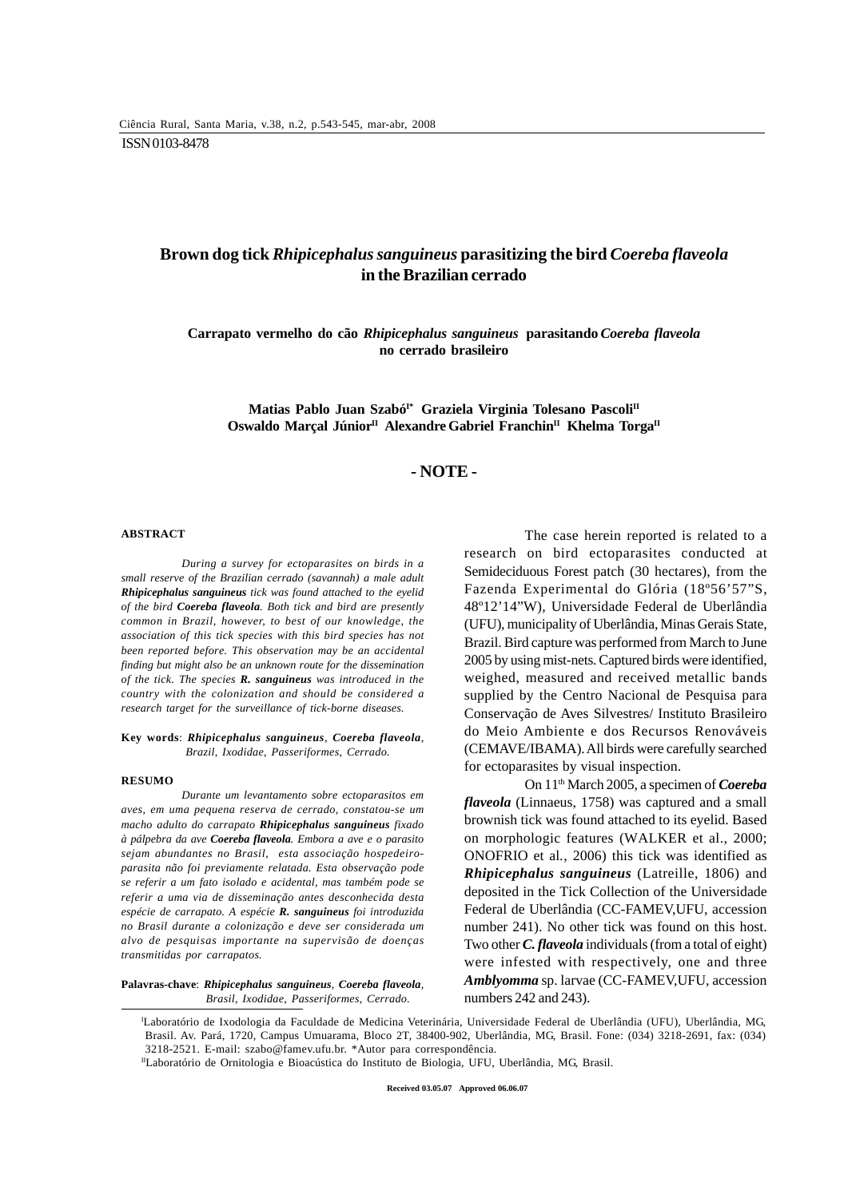# **Brown dog tick** *Rhipicephalus sanguineus* **parasitizing the bird** *Coereba flaveola* **in the Brazilian cerrado**

**Carrapato vermelho do cão** *Rhipicephalus sanguineus* **parasitando** *Coereba flaveola* **no cerrado brasileiro**

Matias Pablo Juan Szabó<sup>1\*</sup> Graziela Virginia Tolesano Pascoli<sup>II</sup> Oswaldo Marçal Júnior<sup>II</sup> Alexandre Gabriel Franchin<sup>II</sup> Khelma Torga<sup>II</sup>

## **- NOTE -**

#### **ABSTRACT**

*During a survey for ectoparasites on birds in a small reserve of the Brazilian cerrado (savannah) a male adult Rhipicephalus sanguineus tick was found attached to the eyelid of the bird Coereba flaveola. Both tick and bird are presently common in Brazil, however, to best of our knowledge, the association of this tick species with this bird species has not been reported before. This observation may be an accidental finding but might also be an unknown route for the dissemination of the tick. The species R. sanguineus was introduced in the country with the colonization and should be considered a research target for the surveillance of tick-borne diseases.*

### **Key words**: *Rhipicephalus sanguineus, Coereba flaveola, Brazil, Ixodidae, Passeriformes, Cerrado.*

#### **RESUMO**

*Durante um levantamento sobre ectoparasitos em aves, em uma pequena reserva de cerrado, constatou-se um macho adulto do carrapato Rhipicephalus sanguineus fixado à pálpebra da ave Coereba flaveola. Embora a ave e o parasito sejam abundantes no Brasil, esta associação hospedeiroparasita não foi previamente relatada. Esta observação pode se referir a um fato isolado e acidental, mas também pode se referir a uma via de disseminação antes desconhecida desta espécie de carrapato. A espécie R. sanguineus foi introduzida no Brasil durante a colonização e deve ser considerada um alvo de pesquisas importante na supervisão de doenças transmitidas por carrapatos.*

**Palavras-chave**: *Rhipicephalus sanguineus, Coereba flaveola, Brasil, Ixodidae, Passeriformes, Cerrado.*

The case herein reported is related to a research on bird ectoparasites conducted at Semideciduous Forest patch (30 hectares), from the Fazenda Experimental do Glória (18º56'57"S, 48º12'14"W), Universidade Federal de Uberlândia (UFU), municipality of Uberlândia, Minas Gerais State, Brazil. Bird capture was performed from March to June 2005 by using mist-nets. Captured birds were identified, weighed, measured and received metallic bands supplied by the Centro Nacional de Pesquisa para Conservação de Aves Silvestres/ Instituto Brasileiro do Meio Ambiente e dos Recursos Renováveis (CEMAVE/IBAMA). All birds were carefully searched for ectoparasites by visual inspection.

On 11th March 2005, a specimen of *Coereba flaveola* (Linnaeus, 1758) was captured and a small brownish tick was found attached to its eyelid. Based on morphologic features (WALKER et al., 2000; ONOFRIO et al*.*, 2006) this tick was identified as *Rhipicephalus sanguineus* (Latreille, 1806) and deposited in the Tick Collection of the Universidade Federal de Uberlândia (CC-FAMEV,UFU, accession number 241). No other tick was found on this host. Two other *C. flaveola* individuals (from a total of eight) were infested with respectively, one and three *Amblyomma* sp. larvae (CC-FAMEV,UFU, accession numbers 242 and 243).

I Laboratório de Ixodologia da Faculdade de Medicina Veterinária, Universidade Federal de Uberlândia (UFU), Uberlândia, MG, Brasil. Av. Pará, 1720, Campus Umuarama, Bloco 2T, 38400-902, Uberlândia, MG, Brasil. Fone: (034) 3218-2691, fax: (034) 3218-2521. E-mail: szabo@famev.ufu.br. \*Autor para correspondência.

<sup>II</sup>Laboratório de Ornitologia e Bioacústica do Instituto de Biologia, UFU, Uberlândia, MG, Brasil.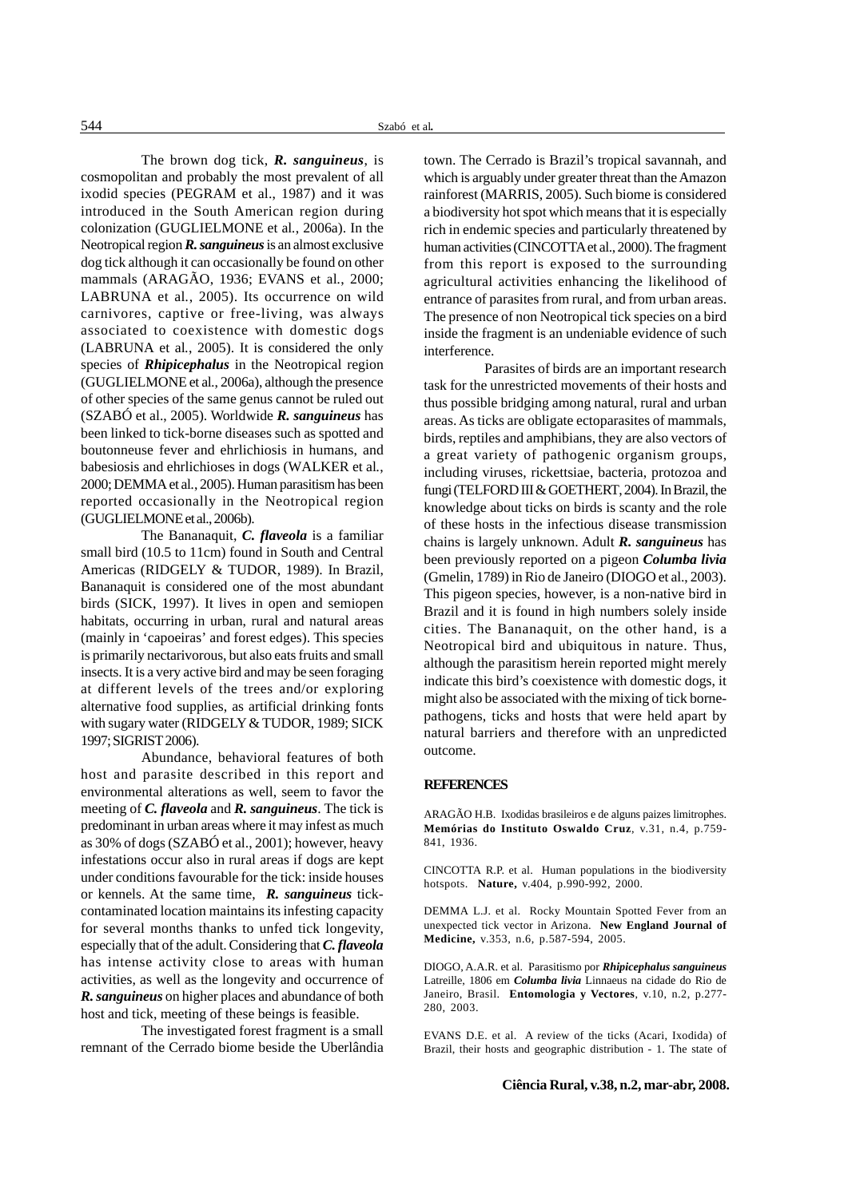The brown dog tick, *R. sanguineus*, is cosmopolitan and probably the most prevalent of all ixodid species (PEGRAM et al., 1987) and it was introduced in the South American region during colonization (GUGLIELMONE et al*.*, 2006a). In the Neotropical region *R. sanguineus* is an almost exclusive dog tick although it can occasionally be found on other mammals (ARAGÃO, 1936; EVANS et al*.*, 2000; LABRUNA et al*.*, 2005). Its occurrence on wild carnivores, captive or free-living, was always associated to coexistence with domestic dogs (LABRUNA et al*.*, 2005). It is considered the only species of *Rhipicephalus* in the Neotropical region (GUGLIELMONE et al*.*, 2006a), although the presence of other species of the same genus cannot be ruled out (SZABÓ et al., 2005). Worldwide *R. sanguineus* has been linked to tick-borne diseases such as spotted and boutonneuse fever and ehrlichiosis in humans, and babesiosis and ehrlichioses in dogs (WALKER et al*.*, 2000; DEMMA et al*.*, 2005). Human parasitism has been reported occasionally in the Neotropical region (GUGLIELMONE et al., 2006b).

The Bananaquit, *C. flaveola* is a familiar small bird (10.5 to 11cm) found in South and Central Americas (RIDGELY & TUDOR, 1989). In Brazil, Bananaquit is considered one of the most abundant birds (SICK, 1997). It lives in open and semiopen habitats, occurring in urban, rural and natural areas (mainly in 'capoeiras' and forest edges). This species is primarily nectarivorous, but also eats fruits and small insects. It is a very active bird and may be seen foraging at different levels of the trees and/or exploring alternative food supplies, as artificial drinking fonts with sugary water (RIDGELY & TUDOR, 1989; SICK 1997; SIGRIST 2006).

Abundance, behavioral features of both host and parasite described in this report and environmental alterations as well, seem to favor the meeting of *C. flaveola* and *R. sanguineus*. The tick is predominant in urban areas where it may infest as much as 30% of dogs (SZABÓ et al., 2001); however, heavy infestations occur also in rural areas if dogs are kept under conditions favourable for the tick: inside houses or kennels. At the same time, *R. sanguineus* tickcontaminated location maintains its infesting capacity for several months thanks to unfed tick longevity, especially that of the adult. Considering that *C. flaveola* has intense activity close to areas with human activities, as well as the longevity and occurrence of *R. sanguineus* on higher places and abundance of both host and tick, meeting of these beings is feasible.

The investigated forest fragment is a small remnant of the Cerrado biome beside the Uberlândia town. The Cerrado is Brazil's tropical savannah, and which is arguably under greater threat than the Amazon rainforest (MARRIS, 2005). Such biome is considered a biodiversity hot spot which means that it is especially rich in endemic species and particularly threatened by human activities (CINCOTTA et al., 2000). The fragment from this report is exposed to the surrounding agricultural activities enhancing the likelihood of entrance of parasites from rural, and from urban areas. The presence of non Neotropical tick species on a bird inside the fragment is an undeniable evidence of such interference.

Parasites of birds are an important research task for the unrestricted movements of their hosts and thus possible bridging among natural, rural and urban areas. As ticks are obligate ectoparasites of mammals, birds, reptiles and amphibians, they are also vectors of a great variety of pathogenic organism groups, including viruses, rickettsiae, bacteria, protozoa and fungi (TELFORD III & GOETHERT, 2004). In Brazil, the knowledge about ticks on birds is scanty and the role of these hosts in the infectious disease transmission chains is largely unknown. Adult *R. sanguineus* has been previously reported on a pigeon *Columba livia* (Gmelin, 1789) in Rio de Janeiro (DIOGO et al., 2003). This pigeon species, however, is a non-native bird in Brazil and it is found in high numbers solely inside cities. The Bananaquit, on the other hand, is a Neotropical bird and ubiquitous in nature. Thus, although the parasitism herein reported might merely indicate this bird's coexistence with domestic dogs, it might also be associated with the mixing of tick bornepathogens, ticks and hosts that were held apart by natural barriers and therefore with an unpredicted outcome.

### **REFERENCES**

ARAGÃO H.B. Ixodidas brasileiros e de alguns paizes limitrophes. **Memórias do Instituto Oswaldo Cruz**, v.31, n.4, p.759- 841, 1936.

CINCOTTA R.P. et al. Human populations in the biodiversity hotspots. **Nature,** v.404, p.990-992, 2000.

DEMMA L.J. et al. Rocky Mountain Spotted Fever from an unexpected tick vector in Arizona. **New England Journal of Medicine,** v.353, n.6, p.587-594, 2005.

DIOGO, A.A.R. et al. Parasitismo por *Rhipicephalus sanguineus* Latreille, 1806 em *Columba livia* Linnaeus na cidade do Rio de Janeiro, Brasil. **Entomologia y Vectores**, v.10, n.2, p.277- 280, 2003.

EVANS D.E. et al. A review of the ticks (Acari, Ixodida) of Brazil, their hosts and geographic distribution - 1. The state of